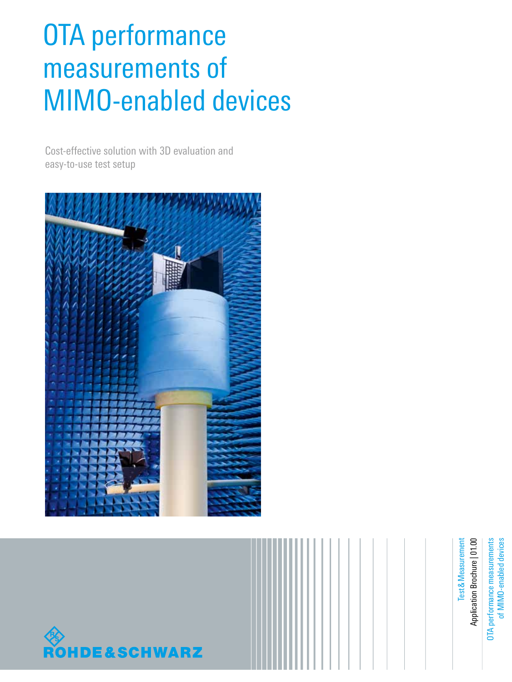## OTA performance measurements of MIMO-enabled devices

Cost-effective solution with 3D evaluation and easy-to-use test setup





OTA performance measurements OTA performance measurements of MIMO-enabled devices of MIMO-enabled devices

&Measurement Application Brochure | 01.00 Application Brochure | 01.00 **Test & Measurement**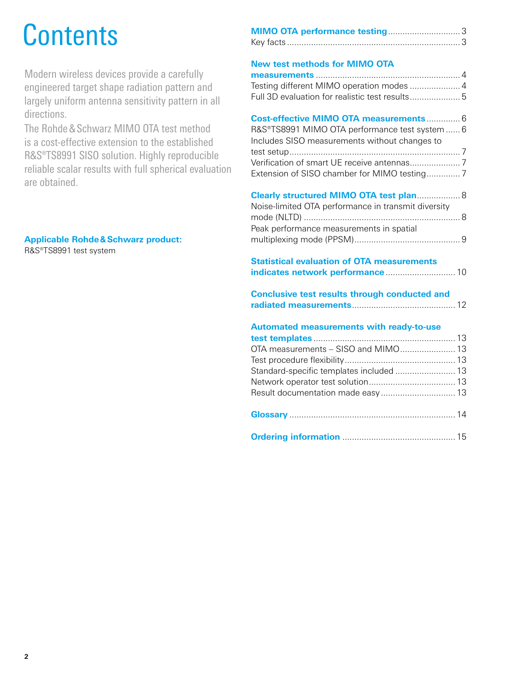## Contents

Modern wireless devices provide a carefully engineered target shape radiation pattern and largely uniform antenna sensitivity pattern in all directions.

The Rohde&Schwarz MIMO OTA test method is a cost-effective extension to the established R&S®TS8991 SISO solution. Highly reproducible reliable scalar results with full spherical evaluation are obtained.

## **Applicable Rohde&Schwarz product:**

R&S®TS8991 test system

## **New test methods for MIMO OTA**

**Cost-effective MIMO OTA measurements** .............. 6 R&S®TS8991 MIMO OTA performance test system ...... 6 Includes SISO measurements without changes to test setup....................................................................... 7 Verification of smart UE receive antennas..................... 7 Extension of SISO chamber for MIMO testing.............. 7

| Clearly structured MIMO OTA test plan 8             |  |
|-----------------------------------------------------|--|
| Noise-limited OTA performance in transmit diversity |  |
|                                                     |  |
| Peak performance measurements in spatial            |  |
|                                                     |  |

## **Statistical evaluation of OTA measurements indicates network performance** ............................. 10

| <b>Conclusive test results through conducted and</b> |  |
|------------------------------------------------------|--|
|                                                      |  |

## **Automated measurements with ready-to-use**

| Standard-specific templates included  13 |  |
|------------------------------------------|--|
|                                          |  |
|                                          |  |
|                                          |  |

|--|--|--|--|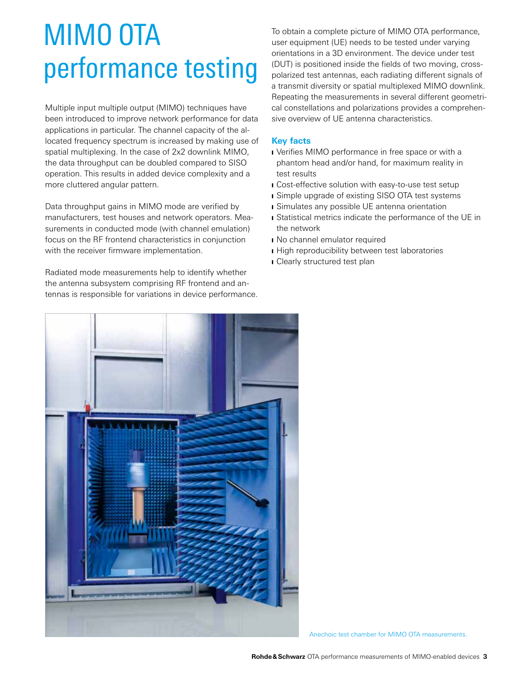## MIMO OTA performance testing

Multiple input multiple output (MIMO) techniques have been introduced to improve network performance for data applications in particular. The channel capacity of the allocated frequency spectrum is increased by making use of spatial multiplexing. In the case of 2x2 downlink MIMO, the data throughput can be doubled compared to SISO operation. This results in added device complexity and a more cluttered angular pattern.

Data throughput gains in MIMO mode are verified by manufacturers, test houses and network operators. Measurements in conducted mode (with channel emulation) focus on the RF frontend characteristics in conjunction with the receiver firmware implementation.

Radiated mode measurements help to identify whether the antenna subsystem comprising RF frontend and antennas is responsible for variations in device performance. To obtain a complete picture of MIMO OTA performance, user equipment (UE) needs to be tested under varying orientations in a 3D environment. The device under test (DUT) is positioned inside the fields of two moving, crosspolarized test antennas, each radiating different signals of a transmit diversity or spatial multiplexed MIMO downlink. Repeating the measurements in several different geometrical constellations and polarizations provides a comprehensive overview of UE antenna characteristics.

### **Key facts**

- **I** Verifies MIMO performance in free space or with a phantom head and/or hand, for maximum reality in test results
- ❙ Cost-effective solution with easy-to-use test setup
- **I** Simple upgrade of existing SISO OTA test systems
- Simulates any possible UE antenna orientation
- **I** Statistical metrics indicate the performance of the UE in the network
- No channel emulator required
- **I** High reproducibility between test laboratories
- Clearly structured test plan



Anechoic test chamber for MIMO OTA measurements.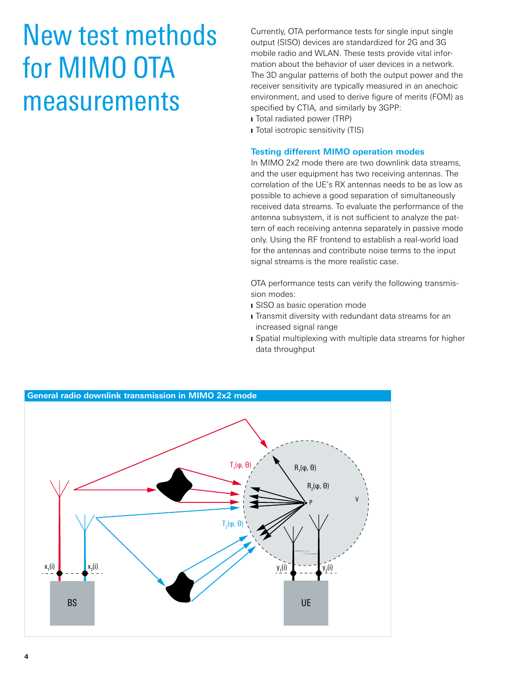## New test methods for MIMO OTA measurements

Currently, OTA performance tests for single input single output (SISO) devices are standardized for 2G and 3G mobile radio and WLAN. These tests provide vital information about the behavior of user devices in a network. The 3D angular patterns of both the output power and the receiver sensitivity are typically measured in an anechoic environment, and used to derive figure of merits (FOM) as specified by CTIA, and similarly by 3GPP:

- Total radiated power (TRP)
- Total isotropic sensitivity (TIS)

#### **Testing different MIMO operation modes**

In MIMO 2x2 mode there are two downlink data streams, and the user equipment has two receiving antennas. The correlation of the UE's RX antennas needs to be as low as possible to achieve a good separation of simultaneously received data streams. To evaluate the performance of the antenna subsystem, it is not sufficient to analyze the pattern of each receiving antenna separately in passive mode only. Using the RF frontend to establish a real-world load for the antennas and contribute noise terms to the input signal streams is the more realistic case.

OTA performance tests can verify the following transmission modes:

- **I** SISO as basic operation mode
- **I** Transmit diversity with redundant data streams for an increased signal range
- ❙ Spatial multiplexing with multiple data streams for higher data throughput

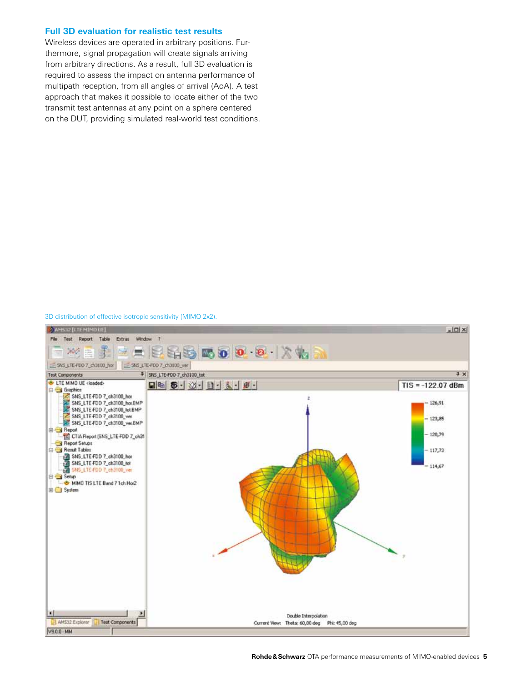#### **Full 3D evaluation for realistic test results**

Wireless devices are operated in arbitrary positions. Furthermore, signal propagation will create signals arriving from arbitrary directions. As a result, full 3D evaluation is required to assess the impact on antenna performance of multipath reception, from all angles of arrival (AoA). A test approach that makes it possible to locate either of the two transmit test antennas at any point on a sphere centered on the DUT, providing simulated real-world test conditions.

#### 3D distribution of effective isotropic sensitivity (MIMO 2x2).

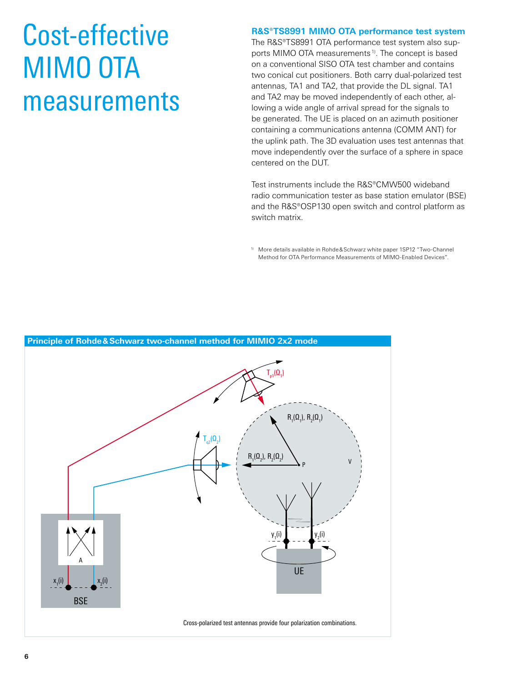## Cost-effective MIMO OTA measurements

**R&S®TS8991 MIMO OTA performance test system**

The R&S®TS8991 OTA performance test system also supports MIMO OTA measurements<sup>1)</sup>. The concept is based on a conventional SISO OTA test chamber and contains two conical cut positioners. Both carry dual-polarized test antennas, TA1 and TA2, that provide the DL signal. TA1 and TA2 may be moved independently of each other, allowing a wide angle of arrival spread for the signals to be generated. The UE is placed on an azimuth positioner containing a communications antenna (COMM ANT) for the uplink path. The 3D evaluation uses test antennas that move independently over the surface of a sphere in space centered on the DUT.

Test instruments include the R&S®CMW500 wideband radio communication tester as base station emulator (BSE) and the R&S®OSP130 open switch and control platform as switch matrix.

1) More details available in Rohde&Schwarz white paper 1SP12 "Two-Channel Method for OTA Performance Measurements of MIMO-Enabled Devices".

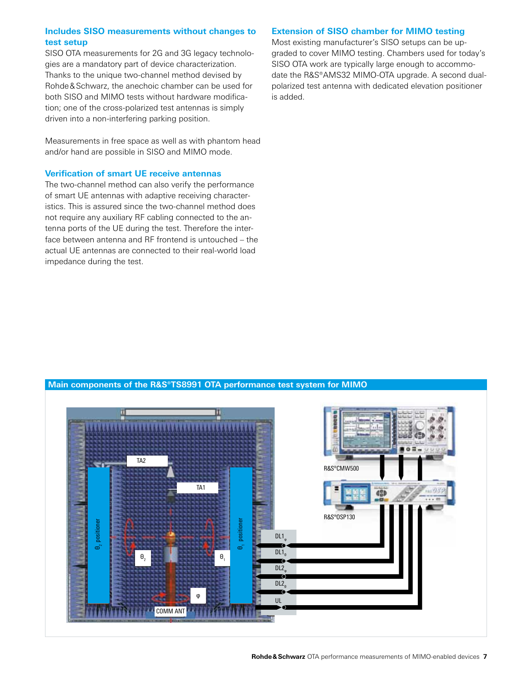### **Includes SISO measurements without changes to test setup**

SISO OTA measurements for 2G and 3G legacy technologies are a mandatory part of device characterization. Thanks to the unique two-channel method devised by Rohde&Schwarz, the anechoic chamber can be used for both SISO and MIMO tests without hardware modification; one of the cross-polarized test antennas is simply driven into a non-interfering parking position.

Measurements in free space as well as with phantom head and/or hand are possible in SISO and MIMO mode.

### **Verification of smart UE receive antennas**

The two-channel method can also verify the performance of smart UE antennas with adaptive receiving characteristics. This is assured since the two-channel method does not require any auxiliary RF cabling connected to the antenna ports of the UE during the test. Therefore the interface between antenna and RF frontend is untouched – the actual UE antennas are connected to their real-world load impedance during the test.

### **Extension of SISO chamber for MIMO testing**

Most existing manufacturer's SISO setups can be upgraded to cover MIMO testing. Chambers used for today's SISO OTA work are typically large enough to accommodate the R&S®AMS32 MIMO-OTA upgrade. A second dualpolarized test antenna with dedicated elevation positioner is added.

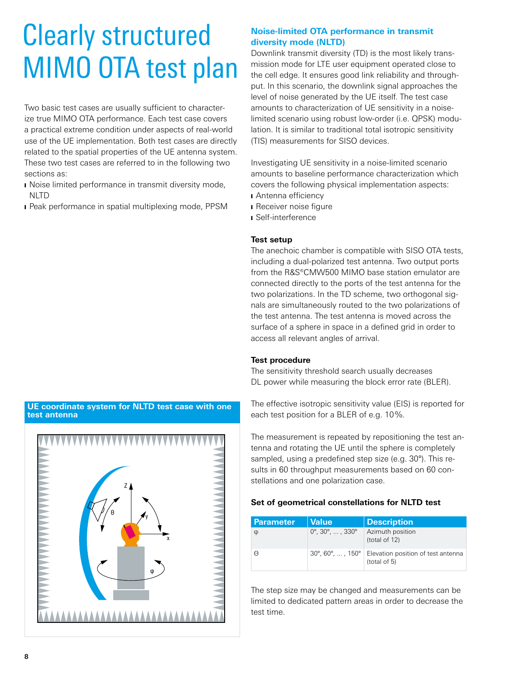## Clearly structured MIMO OTA test plan

Two basic test cases are usually sufficient to characterize true MIMO OTA performance. Each test case covers a practical extreme condition under aspects of real-world use of the UE implementation. Both test cases are directly related to the spatial properties of the UE antenna system. These two test cases are referred to in the following two sections as:

- Noise limited performance in transmit diversity mode, **NLTD**
- Peak performance in spatial multiplexing mode, PPSM

## **Noise-limited OTA performance in transmit diversity mode (NLTD)**

Downlink transmit diversity (TD) is the most likely transmission mode for LTE user equipment operated close to the cell edge. It ensures good link reliability and throughput. In this scenario, the downlink signal approaches the level of noise generated by the UE itself. The test case amounts to characterization of UE sensitivity in a noiselimited scenario using robust low-order (i.e. QPSK) modulation. It is similar to traditional total isotropic sensitivity (TIS) measurements for SISO devices.

Investigating UE sensitivity in a noise-limited scenario amounts to baseline performance characterization which covers the following physical implementation aspects:

- Antenna efficiency
- Receiver noise figure
- ❙ Self-interference

### **Test setup**

The anechoic chamber is compatible with SISO OTA tests, including a dual-polarized test antenna. Two output ports from the R&S®CMW500 MIMO base station emulator are connected directly to the ports of the test antenna for the two polarizations. In the TD scheme, two orthogonal signals are simultaneously routed to the two polarizations of the test antenna. The test antenna is moved across the surface of a sphere in space in a defined grid in order to access all relevant angles of arrival.

### **Test procedure**

The sensitivity threshold search usually decreases DL power while measuring the block error rate (BLER).

The effective isotropic sensitivity value (EIS) is reported for each test position for a BLER of e.g. 10%.

The measurement is repeated by repositioning the test antenna and rotating the UE until the sphere is completely sampled, using a predefined step size (e.g. 30°). This results in 60 throughput measurements based on 60 constellations and one polarization case.

### **Set of geometrical constellations for NLTD test**

| <b>Parameter</b> | <b>Value</b>                                    | <b>Description</b>                                 |
|------------------|-------------------------------------------------|----------------------------------------------------|
| Φ                | $0^{\circ}$ , 30 $^{\circ}$ , , 330 $^{\circ}$  | Azimuth position<br>(total of 12)                  |
| Θ                | $30^{\circ}$ , 60 $^{\circ}$ , , 150 $^{\circ}$ | Elevation position of test antenna<br>(total of 5) |

The step size may be changed and measurements can be limited to dedicated pattern areas in order to decrease the test time.



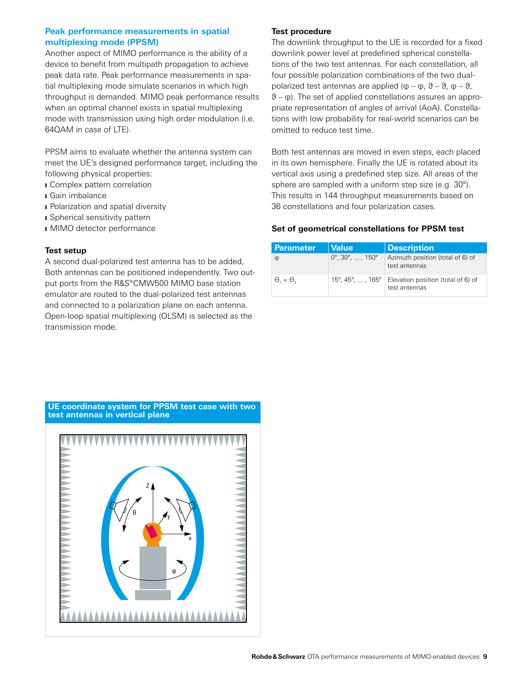### **Peak performance measurements in spatial multiplexing mode (PPSM)**

Another aspect of MIMO performance is the ability of a device to benefit from multipath propagation to achieve peak data rate. Peak performance measurements in spatial multiplexing mode simulate scenarios in which high throughput is demanded. MIMO peak performance results when an optimal channel exists in spatial multiplexing mode with transmission using high order modulation (i.e. 64QAM in case of LTE).

PPSM aims to evaluate whether the antenna system can meet the UE's designed performance target, including the following physical properties:

- Complex pattern correlation
- ❙ Gain imbalance
- Polarization and spatial diversity
- Spherical sensitivity pattern
- **I** MIMO detector performance

#### **Test setup**

A second dual-polarized test antenna has to be added, Both antennas can be positioned independently. Two output ports from the R&S®CMW500 MIMO base station emulator are routed to the dual-polarized test antennas and connected to a polarization plane on each antenna. Open-loop spatial multiplexing (OLSM) is selected as the transmission mode.

#### **Test procedure**

The downlink throughput to the UE is recorded for a fixed downlink power level at predefined spherical constellations of the two test antennas. For each constellation, all four possible polarization combinations of the two dualpolarized test antennas are applied ( $\phi - \phi$ ,  $\theta - \theta$ ,  $\phi - \theta$ , θ – φ). The set of applied constellations assures an appropriate representation of angles of arrival (AoA). Constellations with low probability for real-world scenarios can be omitted to reduce test time.

Both test antennas are moved in even steps, each placed in its own hemisphere. Finally the UE is rotated about its vertical axis using a predefined step size. All areas of the sphere are sampled with a uniform step size (e.g. 30°). This results in 144 throughput measurements based on 36 constellations and four polarization cases.

#### **Set of geometrical constellations for PPSM test**

| <b>Parameter</b>        | <b>Value</b>                                   | <b>Description</b>                                  |
|-------------------------|------------------------------------------------|-----------------------------------------------------|
| φ                       | $0^{\circ}$ , 30 $^{\circ}$ , , 150 $^{\circ}$ | Azimuth position (total of 6) of<br>test antennas   |
| $\Theta_{1}=\Theta_{2}$ | $15^{\circ}$ , 45°, , 165°                     | Elevation position (total of 6) of<br>test antennas |

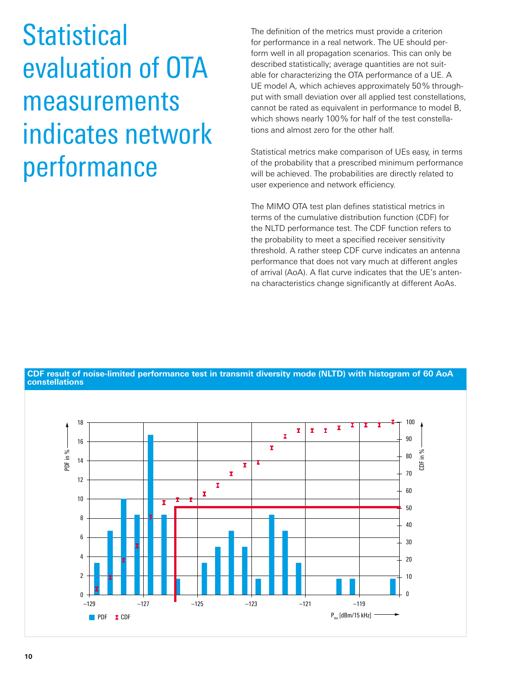**Statistical** evaluation of OTA measurements indicates network performance

The definition of the metrics must provide a criterion for performance in a real network. The UE should perform well in all propagation scenarios. This can only be described statistically; average quantities are not suitable for characterizing the OTA performance of a UE. A UE model A, which achieves approximately 50% throughput with small deviation over all applied test constellations, cannot be rated as equivalent in performance to model B, which shows nearly 100% for half of the test constellations and almost zero for the other half.

Statistical metrics make comparison of UEs easy, in terms of the probability that a prescribed minimum performance will be achieved. The probabilities are directly related to user experience and network efficiency.

The MIMO OTA test plan defines statistical metrics in terms of the cumulative distribution function (CDF) for the NLTD performance test. The CDF function refers to the probability to meet a specified receiver sensitivity threshold. A rather steep CDF curve indicates an antenna performance that does not vary much at different angles of arrival (AoA). A flat curve indicates that the UE's antenna characteristics change significantly at different AoAs.



**CDF result of noise-limited performance test in transmit diversity mode (NLTD) with histogram of 60 AoA constellations**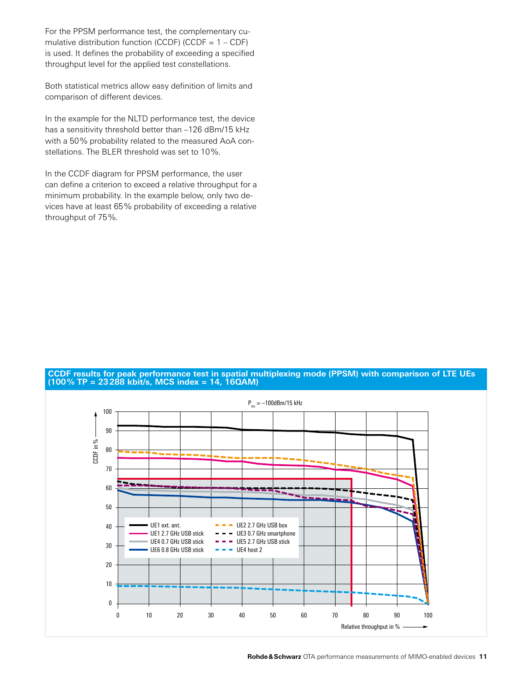For the PPSM performance test, the complementary cumulative distribution function (CCDF) (CCDF =  $1 - CDF$ ) is used. It defines the probability of exceeding a specified throughput level for the applied test constellations.

Both statistical metrics allow easy definition of limits and comparison of different devices.

In the example for the NLTD performance test, the device has a sensitivity threshold better than -126 dBm/15 kHz with a 50% probability related to the measured AoA constellations. The BLER threshold was set to 10%.

In the CCDF diagram for PPSM performance, the user can define a criterion to exceed a relative throughput for a minimum probability. In the example below, only two devices have at least 65% probability of exceeding a relative throughput of 75%.



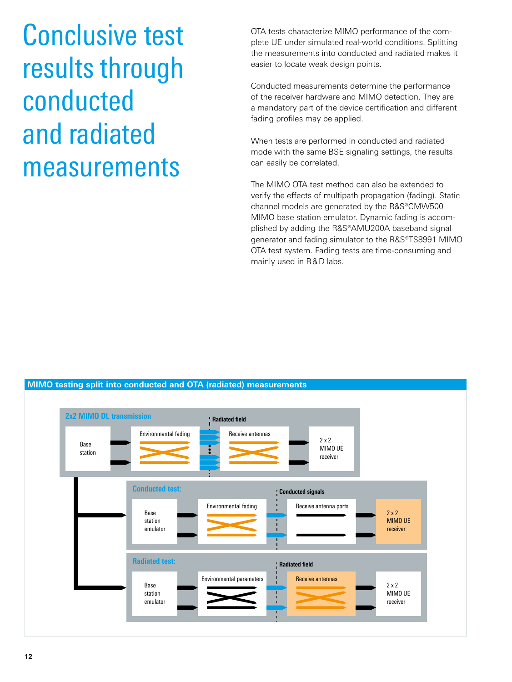Conclusive test results through conducted and radiated measurements

OTA tests characterize MIMO performance of the complete UE under simulated real-world conditions. Splitting the measurements into conducted and radiated makes it easier to locate weak design points.

Conducted measurements determine the performance of the receiver hardware and MIMO detection. They are a mandatory part of the device certification and different fading profiles may be applied.

When tests are performed in conducted and radiated mode with the same BSE signaling settings, the results can easily be correlated.

The MIMO OTA test method can also be extended to verify the effects of multipath propagation (fading). Static channel models are generated by the R&S®CMW500 MIMO base station emulator. Dynamic fading is accomplished by adding the R&S®AMU200A baseband signal generator and fading simulator to the R&S®TS8991 MIMO OTA test system. Fading tests are time-consuming and mainly used in R&D labs.

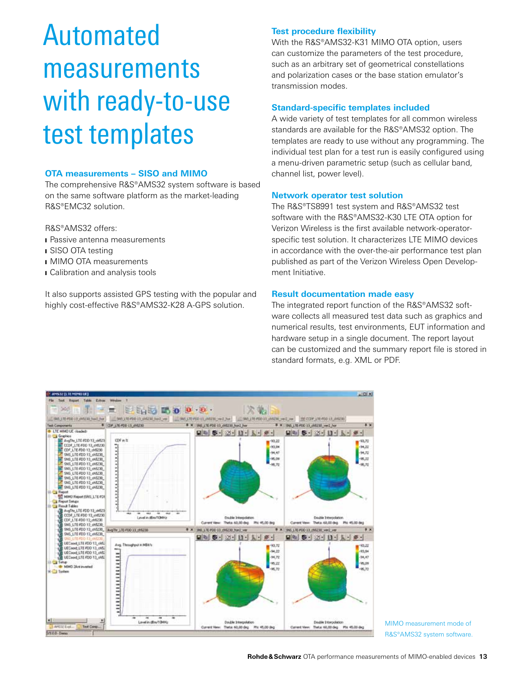## Automated measurements with ready-to-use test templates

### **OTA measurements – SISO and MIMO**

The comprehensive R&S®AMS32 system software is based on the same software platform as the market-leading R&S®EMC32 solution.

R&S®AMS32 offers:

- **I** Passive antenna measurements
- **i** SISO OTA testing
- MIMO OTA measurements
- ❙ Calibration and analysis tools

It also supports assisted GPS testing with the popular and highly cost-effective R&S®AMS32-K28 A-GPS solution.

### **Test procedure flexibility**

With the R&S®AMS32-K31 MIMO OTA option, users can customize the parameters of the test procedure, such as an arbitrary set of geometrical constellations and polarization cases or the base station emulator's transmission modes.

#### **Standard-specific templates included**

A wide variety of test templates for all common wireless standards are available for the R&S®AMS32 option. The templates are ready to use without any programming. The individual test plan for a test run is easily configured using a menu-driven parametric setup (such as cellular band, channel list, power level).

#### **Network operator test solution**

The R&S®TS8991 test system and R&S®AMS32 test software with the R&S®AMS32-K30 LTE OTA option for Verizon Wireless is the first available network-operatorspecific test solution. It characterizes LTE MIMO devices in accordance with the over-the-air performance test plan published as part of the Verizon Wireless Open Development Initiative.

#### **Result documentation made easy**

The integrated report function of the R&S®AMS32 software collects all measured test data such as graphics and numerical results, test environments, EUT information and hardware setup in a single document. The report layout can be customized and the summary report file is stored in standard formats, e.g. XML or PDF.



MIMO measurement mode of R&S®AMS32 system software.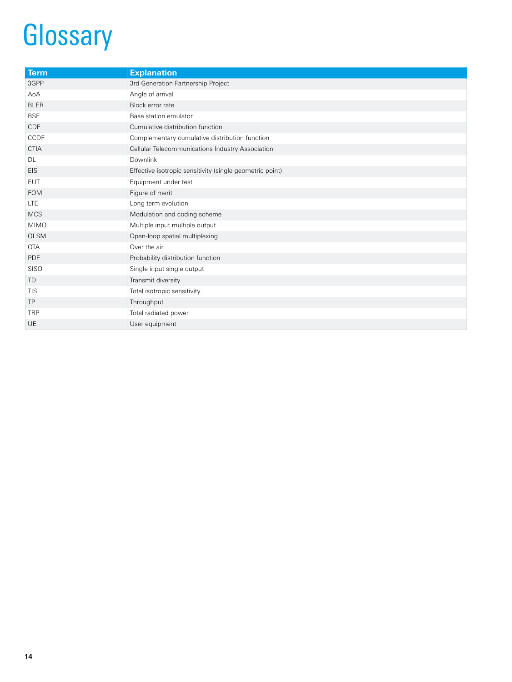## **Glossary**

| <b>Term</b> | <b>Explanation</b>                                       |
|-------------|----------------------------------------------------------|
| 3GPP        | 3rd Generation Partnership Project                       |
| AoA         | Angle of arrival                                         |
| <b>BLER</b> | Block error rate                                         |
| <b>BSE</b>  | Base station emulator                                    |
| CDF         | Cumulative distribution function                         |
| CCDF        | Complementary cumulative distribution function           |
| <b>CTIA</b> | Cellular Telecommunications Industry Association         |
| DL          | Downlink                                                 |
| <b>EIS</b>  | Effective isotropic sensitivity (single geometric point) |
| <b>EUT</b>  | Equipment under test                                     |
| <b>FOM</b>  | Figure of merit                                          |
| <b>LTE</b>  | Long term evolution                                      |
| <b>MCS</b>  | Modulation and coding scheme                             |
| <b>MIMO</b> | Multiple input multiple output                           |
| <b>OLSM</b> | Open-loop spatial multiplexing                           |
| <b>OTA</b>  | Over the air                                             |
| PDF         | Probability distribution function                        |
| <b>SISO</b> | Single input single output                               |
| <b>TD</b>   | Transmit diversity                                       |
| <b>TIS</b>  | Total isotropic sensitivity                              |
| <b>TP</b>   | Throughput                                               |
| <b>TRP</b>  | Total radiated power                                     |
| <b>UE</b>   | User equipment                                           |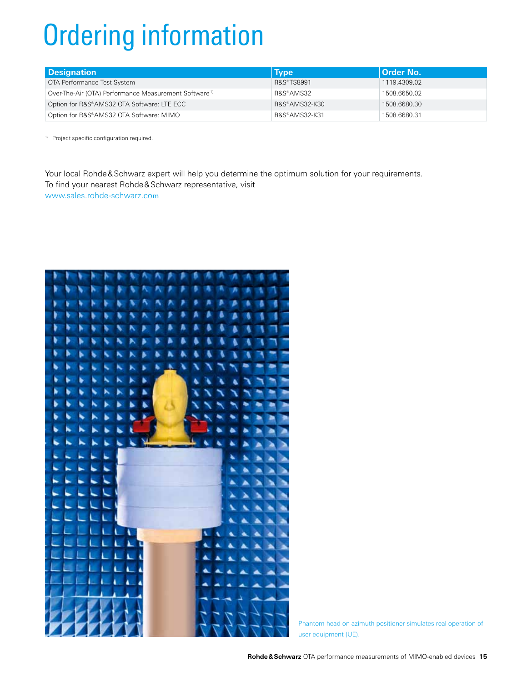# Ordering information

| <b>Designation</b>                                                | <b>Type</b>   | Order No.    |
|-------------------------------------------------------------------|---------------|--------------|
| OTA Performance Test System                                       | R&S®TS8991    | 1119.4309.02 |
| Over-The-Air (OTA) Performance Measurement Software <sup>1)</sup> | R&S®AMS32     | 1508.6650.02 |
| Option for R&S®AMS32 OTA Software: LTE ECC                        | R&S®AMS32-K30 | 1508.6680.30 |
| Option for R&S®AMS32 OTA Software: MIMO                           | R&S®AMS32-K31 | 1508.6680.31 |

1) Project specific configuration required.

Your local Rohde&Schwarz expert will help you determine the optimum solution for your requirements. To find your nearest Rohde&Schwarz representative, visit www.sales.rohde-schwarz.com



Phantom head on azimuth positioner simulates real operation of user equipment (UE).